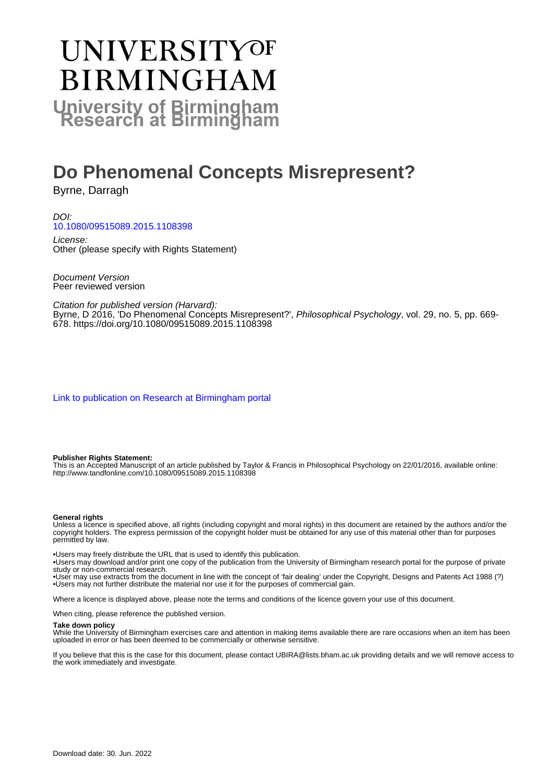# UNIVERSITYOF **BIRMINGHAM University of Birmingham**

# **Do Phenomenal Concepts Misrepresent?**

Byrne, Darragh

DOI: [10.1080/09515089.2015.1108398](https://doi.org/10.1080/09515089.2015.1108398)

License: Other (please specify with Rights Statement)

Document Version Peer reviewed version

Citation for published version (Harvard): Byrne, D 2016, 'Do Phenomenal Concepts Misrepresent?', Philosophical Psychology, vol. 29, no. 5, pp. 669-678.<https://doi.org/10.1080/09515089.2015.1108398>

[Link to publication on Research at Birmingham portal](https://birmingham.elsevierpure.com/en/publications/bed0ad2d-9f16-4304-9b9b-75e2352cbaf0)

#### **Publisher Rights Statement:**

This is an Accepted Manuscript of an article published by Taylor & Francis in Philosophical Psychology on 22/01/2016, available online: http://www.tandfonline.com/10.1080/09515089.2015.1108398

#### **General rights**

Unless a licence is specified above, all rights (including copyright and moral rights) in this document are retained by the authors and/or the copyright holders. The express permission of the copyright holder must be obtained for any use of this material other than for purposes permitted by law.

• Users may freely distribute the URL that is used to identify this publication.

• Users may download and/or print one copy of the publication from the University of Birmingham research portal for the purpose of private study or non-commercial research.

• User may use extracts from the document in line with the concept of 'fair dealing' under the Copyright, Designs and Patents Act 1988 (?) • Users may not further distribute the material nor use it for the purposes of commercial gain.

Where a licence is displayed above, please note the terms and conditions of the licence govern your use of this document.

When citing, please reference the published version.

#### **Take down policy**

While the University of Birmingham exercises care and attention in making items available there are rare occasions when an item has been uploaded in error or has been deemed to be commercially or otherwise sensitive.

If you believe that this is the case for this document, please contact UBIRA@lists.bham.ac.uk providing details and we will remove access to the work immediately and investigate.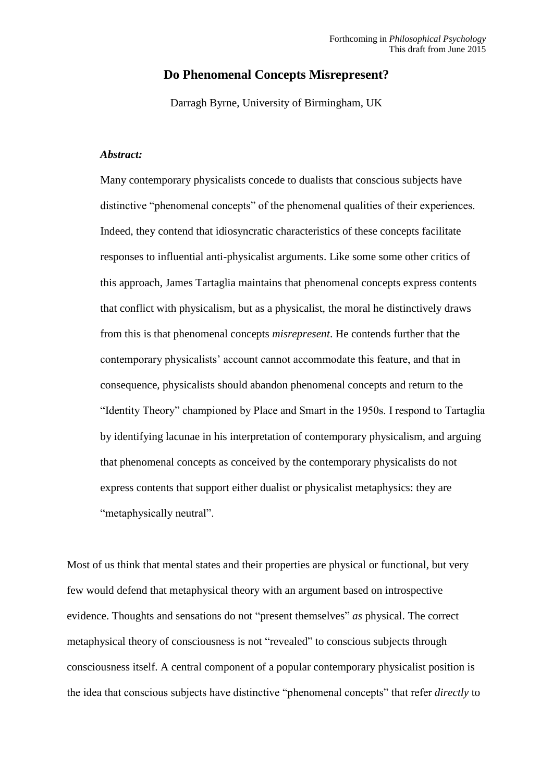# **Do Phenomenal Concepts Misrepresent?**

Darragh Byrne, University of Birmingham, UK

### *Abstract:*

Many contemporary physicalists concede to dualists that conscious subjects have distinctive "phenomenal concepts" of the phenomenal qualities of their experiences. Indeed, they contend that idiosyncratic characteristics of these concepts facilitate responses to influential anti-physicalist arguments. Like some some other critics of this approach, James Tartaglia maintains that phenomenal concepts express contents that conflict with physicalism, but as a physicalist, the moral he distinctively draws from this is that phenomenal concepts *misrepresent*. He contends further that the contemporary physicalists' account cannot accommodate this feature, and that in consequence, physicalists should abandon phenomenal concepts and return to the "Identity Theory" championed by Place and Smart in the 1950s. I respond to Tartaglia by identifying lacunae in his interpretation of contemporary physicalism, and arguing that phenomenal concepts as conceived by the contemporary physicalists do not express contents that support either dualist or physicalist metaphysics: they are "metaphysically neutral".

Most of us think that mental states and their properties are physical or functional, but very few would defend that metaphysical theory with an argument based on introspective evidence. Thoughts and sensations do not "present themselves" *as* physical. The correct metaphysical theory of consciousness is not "revealed" to conscious subjects through consciousness itself. A central component of a popular contemporary physicalist position is the idea that conscious subjects have distinctive "phenomenal concepts" that refer *directly* to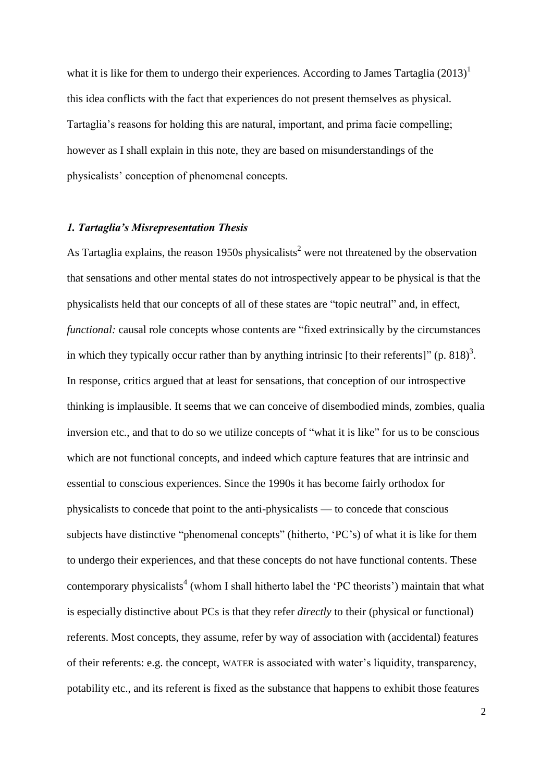what it is like for them to undergo their experiences. According to James Tartaglia  $(2013)^1$ this idea conflicts with the fact that experiences do not present themselves as physical. Tartaglia's reasons for holding this are natural, important, and prima facie compelling; however as I shall explain in this note, they are based on misunderstandings of the physicalists' conception of phenomenal concepts.

### *1. Tartaglia's Misrepresentation Thesis*

As Tartaglia explains, the reason 1950s physicalists<sup>2</sup> were not threatened by the observation that sensations and other mental states do not introspectively appear to be physical is that the physicalists held that our concepts of all of these states are "topic neutral" and, in effect, *functional:* causal role concepts whose contents are "fixed extrinsically by the circumstances" in which they typically occur rather than by anything intrinsic [to their referents]" (p.  $818$ )<sup>3</sup>. In response, critics argued that at least for sensations, that conception of our introspective thinking is implausible. It seems that we can conceive of disembodied minds, zombies, qualia inversion etc., and that to do so we utilize concepts of "what it is like" for us to be conscious which are not functional concepts, and indeed which capture features that are intrinsic and essential to conscious experiences. Since the 1990s it has become fairly orthodox for physicalists to concede that point to the anti-physicalists — to concede that conscious subjects have distinctive "phenomenal concepts" (hitherto, 'PC's) of what it is like for them to undergo their experiences, and that these concepts do not have functional contents. These contemporary physicalists<sup>4</sup> (whom I shall hitherto label the 'PC theorists') maintain that what is especially distinctive about PCs is that they refer *directly* to their (physical or functional) referents. Most concepts, they assume, refer by way of association with (accidental) features of their referents: e.g. the concept, WATER is associated with water's liquidity, transparency, potability etc., and its referent is fixed as the substance that happens to exhibit those features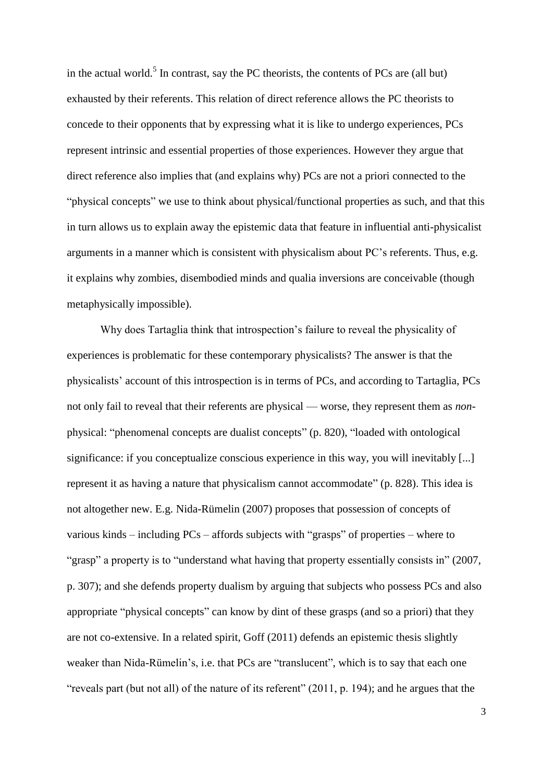in the actual world.<sup>5</sup> In contrast, say the PC theorists, the contents of PCs are (all but) exhausted by their referents. This relation of direct reference allows the PC theorists to concede to their opponents that by expressing what it is like to undergo experiences, PCs represent intrinsic and essential properties of those experiences. However they argue that direct reference also implies that (and explains why) PCs are not a priori connected to the "physical concepts" we use to think about physical/functional properties as such, and that this in turn allows us to explain away the epistemic data that feature in influential anti-physicalist arguments in a manner which is consistent with physicalism about PC's referents. Thus, e.g. it explains why zombies, disembodied minds and qualia inversions are conceivable (though metaphysically impossible).

Why does Tartaglia think that introspection's failure to reveal the physicality of experiences is problematic for these contemporary physicalists? The answer is that the physicalists' account of this introspection is in terms of PCs, and according to Tartaglia, PCs not only fail to reveal that their referents are physical — worse, they represent them as *non*physical: "phenomenal concepts are dualist concepts" (p. 820), "loaded with ontological significance: if you conceptualize conscious experience in this way, you will inevitably [...] represent it as having a nature that physicalism cannot accommodate" (p. 828). This idea is not altogether new. E.g. Nida-Rümelin (2007) proposes that possession of concepts of various kinds – including PCs – affords subjects with "grasps" of properties – where to "grasp" a property is to "understand what having that property essentially consists in" (2007, p. 307); and she defends property dualism by arguing that subjects who possess PCs and also appropriate "physical concepts" can know by dint of these grasps (and so a priori) that they are not co-extensive. In a related spirit, Goff (2011) defends an epistemic thesis slightly weaker than Nida-Rümelin's, i.e. that PCs are "translucent", which is to say that each one "reveals part (but not all) of the nature of its referent" (2011, p. 194); and he argues that the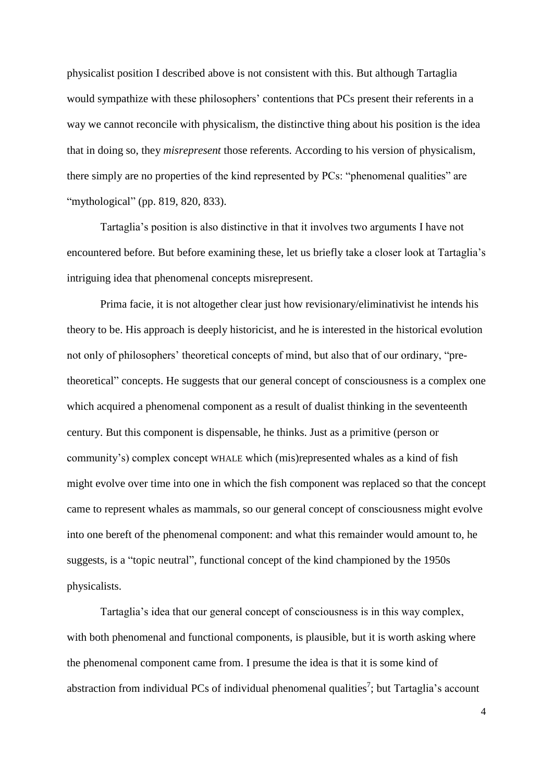physicalist position I described above is not consistent with this. But although Tartaglia would sympathize with these philosophers' contentions that PCs present their referents in a way we cannot reconcile with physicalism, the distinctive thing about his position is the idea that in doing so, they *misrepresent* those referents. According to his version of physicalism, there simply are no properties of the kind represented by PCs: "phenomenal qualities" are "mythological" (pp. 819, 820, 833).

Tartaglia's position is also distinctive in that it involves two arguments I have not encountered before. But before examining these, let us briefly take a closer look at Tartaglia's intriguing idea that phenomenal concepts misrepresent.

Prima facie, it is not altogether clear just how revisionary/eliminativist he intends his theory to be. His approach is deeply historicist, and he is interested in the historical evolution not only of philosophers' theoretical concepts of mind, but also that of our ordinary, "pretheoretical" concepts. He suggests that our general concept of consciousness is a complex one which acquired a phenomenal component as a result of dualist thinking in the seventeenth century. But this component is dispensable, he thinks. Just as a primitive (person or community's) complex concept WHALE which (mis)represented whales as a kind of fish might evolve over time into one in which the fish component was replaced so that the concept came to represent whales as mammals, so our general concept of consciousness might evolve into one bereft of the phenomenal component: and what this remainder would amount to, he suggests, is a "topic neutral", functional concept of the kind championed by the 1950s physicalists.

Tartaglia's idea that our general concept of consciousness is in this way complex, with both phenomenal and functional components, is plausible, but it is worth asking where the phenomenal component came from. I presume the idea is that it is some kind of abstraction from individual PCs of individual phenomenal qualities<sup>7</sup>; but Tartaglia's account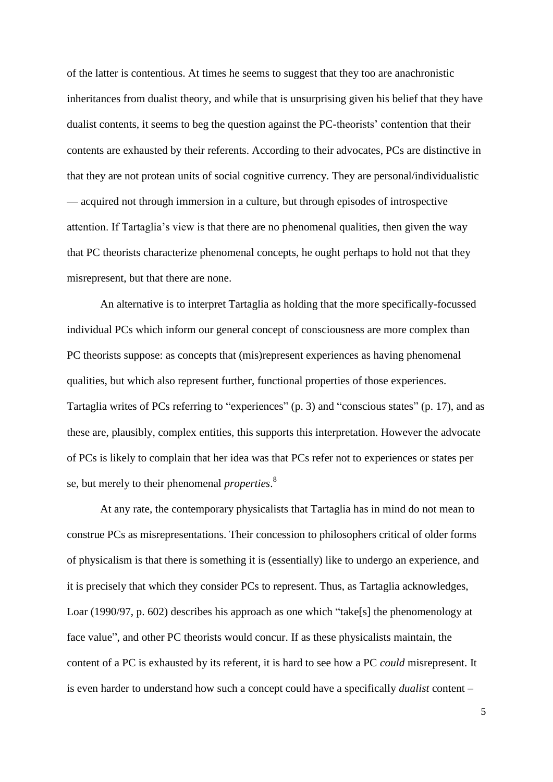of the latter is contentious. At times he seems to suggest that they too are anachronistic inheritances from dualist theory, and while that is unsurprising given his belief that they have dualist contents, it seems to beg the question against the PC-theorists' contention that their contents are exhausted by their referents. According to their advocates, PCs are distinctive in that they are not protean units of social cognitive currency. They are personal/individualistic — acquired not through immersion in a culture, but through episodes of introspective attention. If Tartaglia's view is that there are no phenomenal qualities, then given the way that PC theorists characterize phenomenal concepts, he ought perhaps to hold not that they misrepresent, but that there are none.

An alternative is to interpret Tartaglia as holding that the more specifically-focussed individual PCs which inform our general concept of consciousness are more complex than PC theorists suppose: as concepts that (mis)represent experiences as having phenomenal qualities, but which also represent further, functional properties of those experiences. Tartaglia writes of PCs referring to "experiences" (p. 3) and "conscious states" (p. 17), and as these are, plausibly, complex entities, this supports this interpretation. However the advocate of PCs is likely to complain that her idea was that PCs refer not to experiences or states per se, but merely to their phenomenal *properties*. 8

At any rate, the contemporary physicalists that Tartaglia has in mind do not mean to construe PCs as misrepresentations. Their concession to philosophers critical of older forms of physicalism is that there is something it is (essentially) like to undergo an experience, and it is precisely that which they consider PCs to represent. Thus, as Tartaglia acknowledges, Loar (1990/97, p. 602) describes his approach as one which "take[s] the phenomenology at face value", and other PC theorists would concur. If as these physicalists maintain, the content of a PC is exhausted by its referent, it is hard to see how a PC *could* misrepresent. It is even harder to understand how such a concept could have a specifically *dualist* content –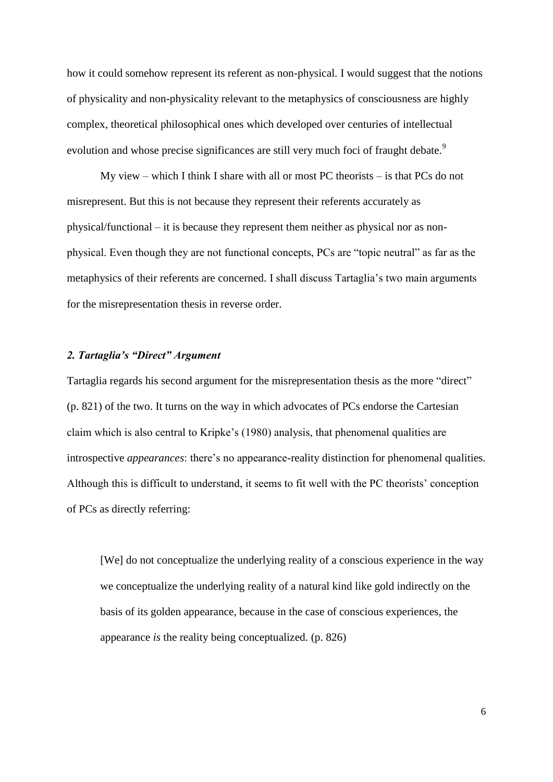how it could somehow represent its referent as non-physical. I would suggest that the notions of physicality and non-physicality relevant to the metaphysics of consciousness are highly complex, theoretical philosophical ones which developed over centuries of intellectual evolution and whose precise significances are still very much foci of fraught debate.<sup>9</sup>

My view – which I think I share with all or most PC theorists – is that PCs do not misrepresent. But this is not because they represent their referents accurately as physical/functional – it is because they represent them neither as physical nor as nonphysical. Even though they are not functional concepts, PCs are "topic neutral" as far as the metaphysics of their referents are concerned. I shall discuss Tartaglia's two main arguments for the misrepresentation thesis in reverse order.

# *2. Tartaglia's "Direct" Argument*

Tartaglia regards his second argument for the misrepresentation thesis as the more "direct" (p. 821) of the two. It turns on the way in which advocates of PCs endorse the Cartesian claim which is also central to Kripke's (1980) analysis, that phenomenal qualities are introspective *appearances*: there's no appearance-reality distinction for phenomenal qualities. Although this is difficult to understand, it seems to fit well with the PC theorists' conception of PCs as directly referring:

[We] do not conceptualize the underlying reality of a conscious experience in the way we conceptualize the underlying reality of a natural kind like gold indirectly on the basis of its golden appearance, because in the case of conscious experiences, the appearance *is* the reality being conceptualized. (p. 826)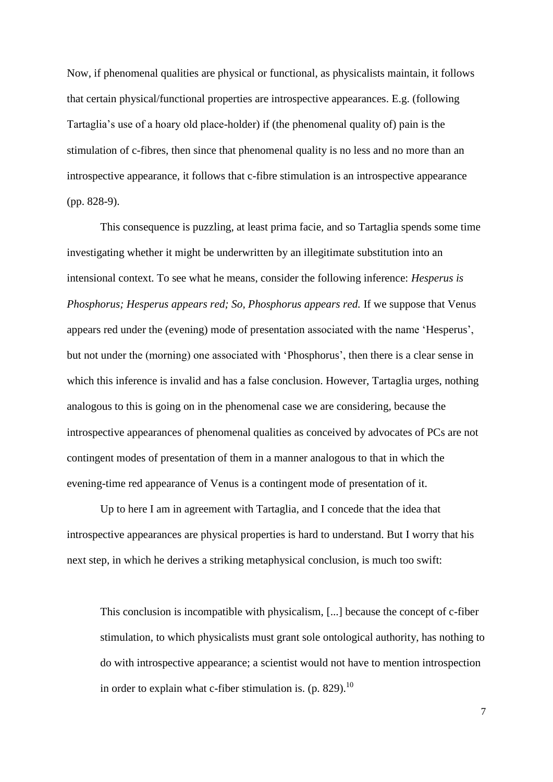Now, if phenomenal qualities are physical or functional, as physicalists maintain, it follows that certain physical/functional properties are introspective appearances. E.g. (following Tartaglia's use of a hoary old place-holder) if (the phenomenal quality of) pain is the stimulation of c-fibres, then since that phenomenal quality is no less and no more than an introspective appearance, it follows that c-fibre stimulation is an introspective appearance (pp. 828-9).

This consequence is puzzling, at least prima facie, and so Tartaglia spends some time investigating whether it might be underwritten by an illegitimate substitution into an intensional context. To see what he means, consider the following inference: *Hesperus is Phosphorus; Hesperus appears red; So, Phosphorus appears red.* If we suppose that Venus appears red under the (evening) mode of presentation associated with the name 'Hesperus', but not under the (morning) one associated with 'Phosphorus', then there is a clear sense in which this inference is invalid and has a false conclusion. However, Tartaglia urges, nothing analogous to this is going on in the phenomenal case we are considering, because the introspective appearances of phenomenal qualities as conceived by advocates of PCs are not contingent modes of presentation of them in a manner analogous to that in which the evening-time red appearance of Venus is a contingent mode of presentation of it.

Up to here I am in agreement with Tartaglia, and I concede that the idea that introspective appearances are physical properties is hard to understand. But I worry that his next step, in which he derives a striking metaphysical conclusion, is much too swift:

This conclusion is incompatible with physicalism, [...] because the concept of c-fiber stimulation, to which physicalists must grant sole ontological authority, has nothing to do with introspective appearance; a scientist would not have to mention introspection in order to explain what c-fiber stimulation is.  $(p. 829)$ .<sup>10</sup>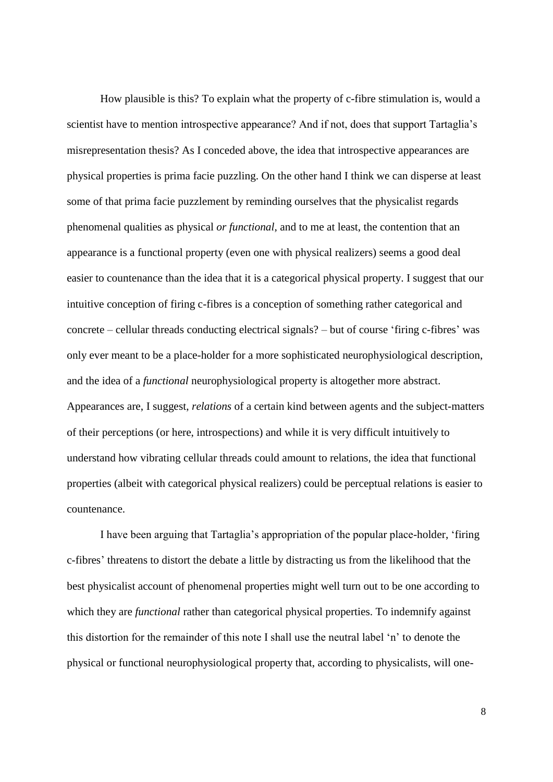How plausible is this? To explain what the property of c-fibre stimulation is, would a scientist have to mention introspective appearance? And if not, does that support Tartaglia's misrepresentation thesis? As I conceded above, the idea that introspective appearances are physical properties is prima facie puzzling. On the other hand I think we can disperse at least some of that prima facie puzzlement by reminding ourselves that the physicalist regards phenomenal qualities as physical *or functional*, and to me at least, the contention that an appearance is a functional property (even one with physical realizers) seems a good deal easier to countenance than the idea that it is a categorical physical property. I suggest that our intuitive conception of firing c-fibres is a conception of something rather categorical and concrete – cellular threads conducting electrical signals? – but of course 'firing c-fibres' was only ever meant to be a place-holder for a more sophisticated neurophysiological description, and the idea of a *functional* neurophysiological property is altogether more abstract. Appearances are, I suggest, *relations* of a certain kind between agents and the subject-matters of their perceptions (or here, introspections) and while it is very difficult intuitively to understand how vibrating cellular threads could amount to relations, the idea that functional properties (albeit with categorical physical realizers) could be perceptual relations is easier to countenance.

I have been arguing that Tartaglia's appropriation of the popular place-holder, 'firing c-fibres' threatens to distort the debate a little by distracting us from the likelihood that the best physicalist account of phenomenal properties might well turn out to be one according to which they are *functional* rather than categorical physical properties. To indemnify against this distortion for the remainder of this note I shall use the neutral label 'n' to denote the physical or functional neurophysiological property that, according to physicalists, will one-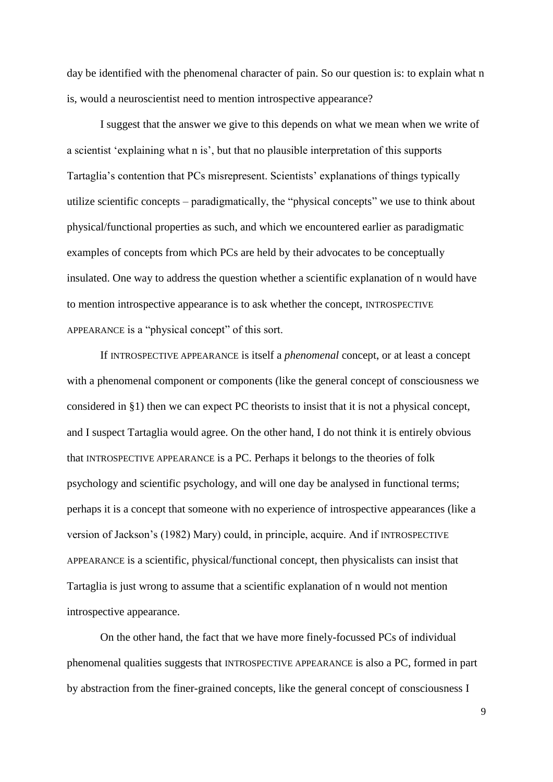day be identified with the phenomenal character of pain. So our question is: to explain what n is, would a neuroscientist need to mention introspective appearance?

I suggest that the answer we give to this depends on what we mean when we write of a scientist 'explaining what n is', but that no plausible interpretation of this supports Tartaglia's contention that PCs misrepresent. Scientists' explanations of things typically utilize scientific concepts – paradigmatically, the "physical concepts" we use to think about physical/functional properties as such, and which we encountered earlier as paradigmatic examples of concepts from which PCs are held by their advocates to be conceptually insulated. One way to address the question whether a scientific explanation of n would have to mention introspective appearance is to ask whether the concept, INTROSPECTIVE APPEARANCE is a "physical concept" of this sort.

If INTROSPECTIVE APPEARANCE is itself a *phenomenal* concept, or at least a concept with a phenomenal component or components (like the general concept of consciousness we considered in §1) then we can expect PC theorists to insist that it is not a physical concept, and I suspect Tartaglia would agree. On the other hand, I do not think it is entirely obvious that INTROSPECTIVE APPEARANCE is a PC. Perhaps it belongs to the theories of folk psychology and scientific psychology, and will one day be analysed in functional terms; perhaps it is a concept that someone with no experience of introspective appearances (like a version of Jackson's (1982) Mary) could, in principle, acquire. And if INTROSPECTIVE APPEARANCE is a scientific, physical/functional concept, then physicalists can insist that Tartaglia is just wrong to assume that a scientific explanation of n would not mention introspective appearance.

On the other hand, the fact that we have more finely-focussed PCs of individual phenomenal qualities suggests that INTROSPECTIVE APPEARANCE is also a PC, formed in part by abstraction from the finer-grained concepts, like the general concept of consciousness I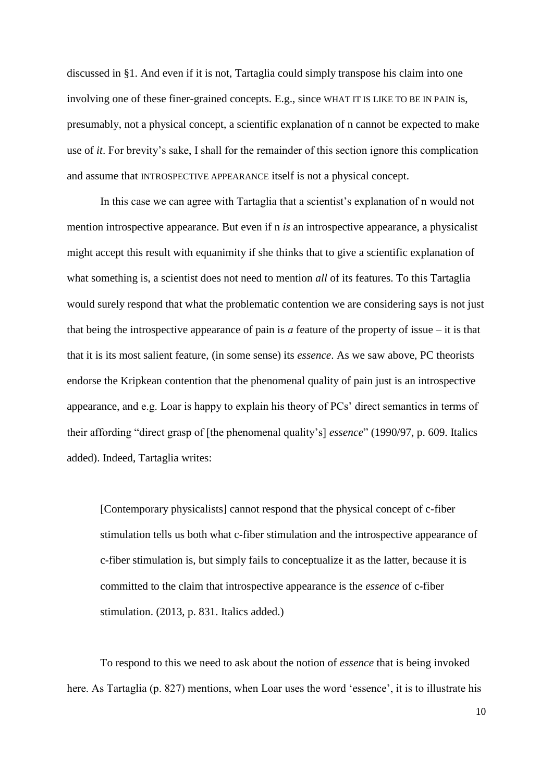discussed in §1. And even if it is not, Tartaglia could simply transpose his claim into one involving one of these finer-grained concepts. E.g., since WHAT IT IS LIKE TO BE IN PAIN is, presumably, not a physical concept, a scientific explanation of n cannot be expected to make use of *it*. For brevity's sake, I shall for the remainder of this section ignore this complication and assume that INTROSPECTIVE APPEARANCE itself is not a physical concept.

In this case we can agree with Tartaglia that a scientist's explanation of n would not mention introspective appearance. But even if n *is* an introspective appearance, a physicalist might accept this result with equanimity if she thinks that to give a scientific explanation of what something is, a scientist does not need to mention *all* of its features. To this Tartaglia would surely respond that what the problematic contention we are considering says is not just that being the introspective appearance of pain is *a* feature of the property of issue – it is that that it is its most salient feature, (in some sense) its *essence*. As we saw above, PC theorists endorse the Kripkean contention that the phenomenal quality of pain just is an introspective appearance, and e.g. Loar is happy to explain his theory of PCs' direct semantics in terms of their affording "direct grasp of [the phenomenal quality's] *essence*" (1990/97, p. 609. Italics added). Indeed, Tartaglia writes:

[Contemporary physicalists] cannot respond that the physical concept of c-fiber stimulation tells us both what c-fiber stimulation and the introspective appearance of c-fiber stimulation is, but simply fails to conceptualize it as the latter, because it is committed to the claim that introspective appearance is the *essence* of c-fiber stimulation. (2013, p. 831. Italics added.)

To respond to this we need to ask about the notion of *essence* that is being invoked here. As Tartaglia (p. 827) mentions, when Loar uses the word 'essence', it is to illustrate his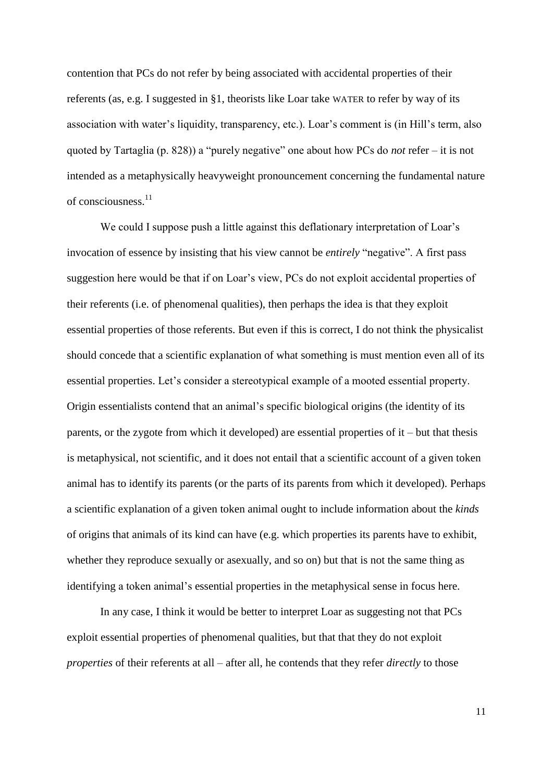contention that PCs do not refer by being associated with accidental properties of their referents (as, e.g. I suggested in §1, theorists like Loar take WATER to refer by way of its association with water's liquidity, transparency, etc.). Loar's comment is (in Hill's term, also quoted by Tartaglia (p. 828)) a "purely negative" one about how PCs do *not* refer – it is not intended as a metaphysically heavyweight pronouncement concerning the fundamental nature of consciousness.<sup>11</sup>

We could I suppose push a little against this deflationary interpretation of Loar's invocation of essence by insisting that his view cannot be *entirely* "negative". A first pass suggestion here would be that if on Loar's view, PCs do not exploit accidental properties of their referents (i.e. of phenomenal qualities), then perhaps the idea is that they exploit essential properties of those referents. But even if this is correct, I do not think the physicalist should concede that a scientific explanation of what something is must mention even all of its essential properties. Let's consider a stereotypical example of a mooted essential property. Origin essentialists contend that an animal's specific biological origins (the identity of its parents, or the zygote from which it developed) are essential properties of it – but that thesis is metaphysical, not scientific, and it does not entail that a scientific account of a given token animal has to identify its parents (or the parts of its parents from which it developed). Perhaps a scientific explanation of a given token animal ought to include information about the *kinds* of origins that animals of its kind can have (e.g. which properties its parents have to exhibit, whether they reproduce sexually or asexually, and so on) but that is not the same thing as identifying a token animal's essential properties in the metaphysical sense in focus here.

In any case, I think it would be better to interpret Loar as suggesting not that PCs exploit essential properties of phenomenal qualities, but that that they do not exploit *properties* of their referents at all – after all, he contends that they refer *directly* to those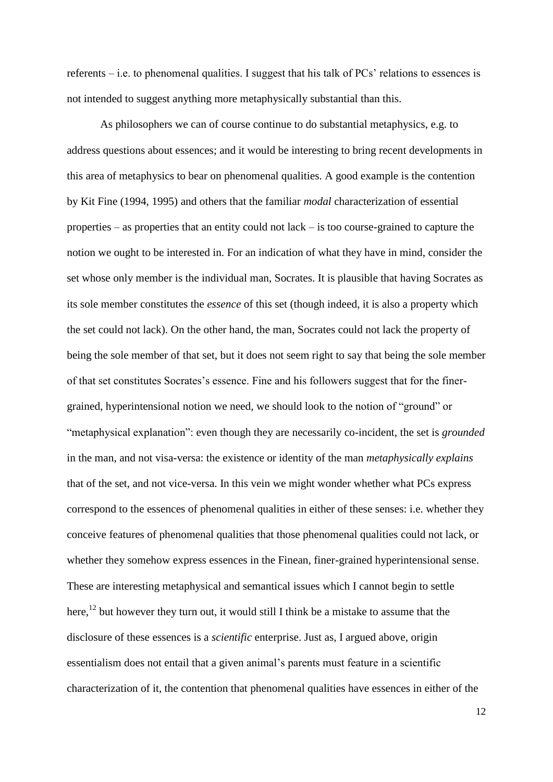referents – i.e. to phenomenal qualities. I suggest that his talk of PCs' relations to essences is not intended to suggest anything more metaphysically substantial than this.

As philosophers we can of course continue to do substantial metaphysics, e.g. to address questions about essences; and it would be interesting to bring recent developments in this area of metaphysics to bear on phenomenal qualities. A good example is the contention by Kit Fine (1994, 1995) and others that the familiar *modal* characterization of essential properties – as properties that an entity could not lack – is too course-grained to capture the notion we ought to be interested in. For an indication of what they have in mind, consider the set whose only member is the individual man, Socrates. It is plausible that having Socrates as its sole member constitutes the *essence* of this set (though indeed, it is also a property which the set could not lack). On the other hand, the man, Socrates could not lack the property of being the sole member of that set, but it does not seem right to say that being the sole member of that set constitutes Socrates's essence. Fine and his followers suggest that for the finergrained, hyperintensional notion we need, we should look to the notion of "ground" or "metaphysical explanation": even though they are necessarily co-incident, the set is *grounded* in the man, and not visa-versa: the existence or identity of the man *metaphysically explains* that of the set, and not vice-versa. In this vein we might wonder whether what PCs express correspond to the essences of phenomenal qualities in either of these senses: i.e. whether they conceive features of phenomenal qualities that those phenomenal qualities could not lack, or whether they somehow express essences in the Finean, finer-grained hyperintensional sense. These are interesting metaphysical and semantical issues which I cannot begin to settle here,<sup>12</sup> but however they turn out, it would still I think be a mistake to assume that the disclosure of these essences is a *scientific* enterprise. Just as, I argued above, origin essentialism does not entail that a given animal's parents must feature in a scientific characterization of it, the contention that phenomenal qualities have essences in either of the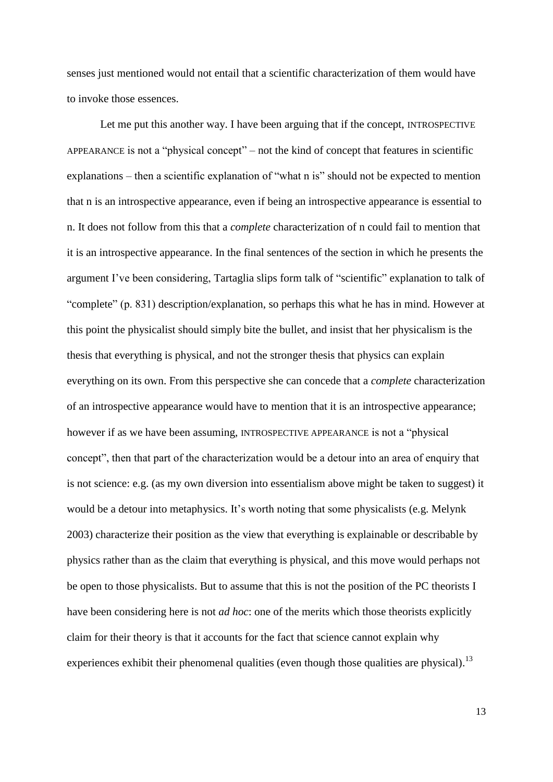senses just mentioned would not entail that a scientific characterization of them would have to invoke those essences.

Let me put this another way. I have been arguing that if the concept, INTROSPECTIVE APPEARANCE is not a "physical concept" – not the kind of concept that features in scientific explanations – then a scientific explanation of "what n is" should not be expected to mention that n is an introspective appearance, even if being an introspective appearance is essential to n. It does not follow from this that a *complete* characterization of n could fail to mention that it is an introspective appearance. In the final sentences of the section in which he presents the argument I've been considering, Tartaglia slips form talk of "scientific" explanation to talk of "complete" (p. 831) description/explanation, so perhaps this what he has in mind. However at this point the physicalist should simply bite the bullet, and insist that her physicalism is the thesis that everything is physical, and not the stronger thesis that physics can explain everything on its own. From this perspective she can concede that a *complete* characterization of an introspective appearance would have to mention that it is an introspective appearance; however if as we have been assuming, INTROSPECTIVE APPEARANCE is not a "physical concept", then that part of the characterization would be a detour into an area of enquiry that is not science: e.g. (as my own diversion into essentialism above might be taken to suggest) it would be a detour into metaphysics. It's worth noting that some physicalists (e.g. Melynk 2003) characterize their position as the view that everything is explainable or describable by physics rather than as the claim that everything is physical, and this move would perhaps not be open to those physicalists. But to assume that this is not the position of the PC theorists I have been considering here is not *ad hoc*: one of the merits which those theorists explicitly claim for their theory is that it accounts for the fact that science cannot explain why experiences exhibit their phenomenal qualities (even though those qualities are physical).<sup>13</sup>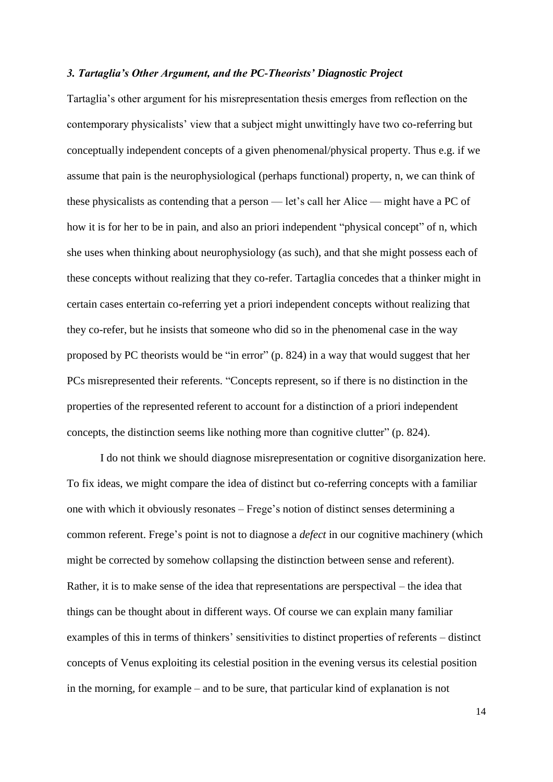#### *3. Tartaglia's Other Argument, and the PC-Theorists' Diagnostic Project*

Tartaglia's other argument for his misrepresentation thesis emerges from reflection on the contemporary physicalists' view that a subject might unwittingly have two co-referring but conceptually independent concepts of a given phenomenal/physical property. Thus e.g. if we assume that pain is the neurophysiological (perhaps functional) property, n, we can think of these physicalists as contending that a person — let's call her Alice — might have a PC of how it is for her to be in pain, and also an priori independent "physical concept" of n, which she uses when thinking about neurophysiology (as such), and that she might possess each of these concepts without realizing that they co-refer. Tartaglia concedes that a thinker might in certain cases entertain co-referring yet a priori independent concepts without realizing that they co-refer, but he insists that someone who did so in the phenomenal case in the way proposed by PC theorists would be "in error" (p. 824) in a way that would suggest that her PCs misrepresented their referents. "Concepts represent, so if there is no distinction in the properties of the represented referent to account for a distinction of a priori independent concepts, the distinction seems like nothing more than cognitive clutter" (p. 824).

I do not think we should diagnose misrepresentation or cognitive disorganization here. To fix ideas, we might compare the idea of distinct but co-referring concepts with a familiar one with which it obviously resonates – Frege's notion of distinct senses determining a common referent. Frege's point is not to diagnose a *defect* in our cognitive machinery (which might be corrected by somehow collapsing the distinction between sense and referent). Rather, it is to make sense of the idea that representations are perspectival – the idea that things can be thought about in different ways. Of course we can explain many familiar examples of this in terms of thinkers' sensitivities to distinct properties of referents – distinct concepts of Venus exploiting its celestial position in the evening versus its celestial position in the morning, for example – and to be sure, that particular kind of explanation is not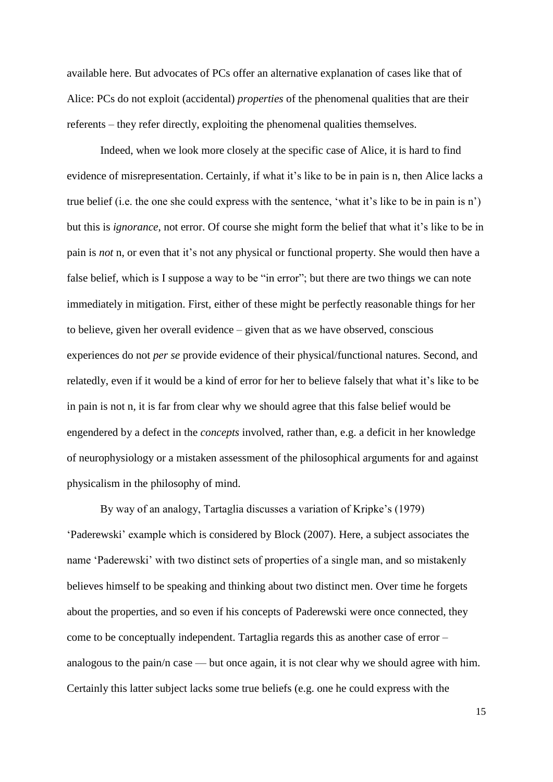available here. But advocates of PCs offer an alternative explanation of cases like that of Alice: PCs do not exploit (accidental) *properties* of the phenomenal qualities that are their referents – they refer directly, exploiting the phenomenal qualities themselves.

Indeed, when we look more closely at the specific case of Alice, it is hard to find evidence of misrepresentation. Certainly, if what it's like to be in pain is n, then Alice lacks a true belief (i.e. the one she could express with the sentence, 'what it's like to be in pain is n') but this is *ignorance*, not error. Of course she might form the belief that what it's like to be in pain is *not* n, or even that it's not any physical or functional property. She would then have a false belief, which is I suppose a way to be "in error"; but there are two things we can note immediately in mitigation. First, either of these might be perfectly reasonable things for her to believe, given her overall evidence – given that as we have observed, conscious experiences do not *per se* provide evidence of their physical/functional natures. Second, and relatedly, even if it would be a kind of error for her to believe falsely that what it's like to be in pain is not n, it is far from clear why we should agree that this false belief would be engendered by a defect in the *concepts* involved, rather than, e.g. a deficit in her knowledge of neurophysiology or a mistaken assessment of the philosophical arguments for and against physicalism in the philosophy of mind.

By way of an analogy, Tartaglia discusses a variation of Kripke's (1979) 'Paderewski' example which is considered by Block (2007). Here, a subject associates the name 'Paderewski' with two distinct sets of properties of a single man, and so mistakenly believes himself to be speaking and thinking about two distinct men. Over time he forgets about the properties, and so even if his concepts of Paderewski were once connected, they come to be conceptually independent. Tartaglia regards this as another case of error – analogous to the pain/n case — but once again, it is not clear why we should agree with him. Certainly this latter subject lacks some true beliefs (e.g. one he could express with the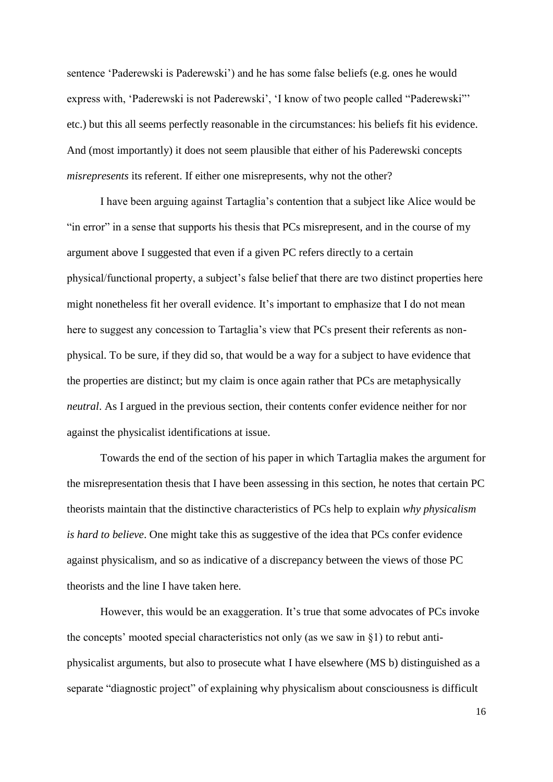sentence 'Paderewski is Paderewski') and he has some false beliefs (e.g. ones he would express with, 'Paderewski is not Paderewski', 'I know of two people called "Paderewski"' etc.) but this all seems perfectly reasonable in the circumstances: his beliefs fit his evidence. And (most importantly) it does not seem plausible that either of his Paderewski concepts *misrepresents* its referent. If either one misrepresents, why not the other?

I have been arguing against Tartaglia's contention that a subject like Alice would be "in error" in a sense that supports his thesis that PCs misrepresent, and in the course of my argument above I suggested that even if a given PC refers directly to a certain physical/functional property, a subject's false belief that there are two distinct properties here might nonetheless fit her overall evidence. It's important to emphasize that I do not mean here to suggest any concession to Tartaglia's view that PCs present their referents as nonphysical. To be sure, if they did so, that would be a way for a subject to have evidence that the properties are distinct; but my claim is once again rather that PCs are metaphysically *neutral*. As I argued in the previous section, their contents confer evidence neither for nor against the physicalist identifications at issue.

Towards the end of the section of his paper in which Tartaglia makes the argument for the misrepresentation thesis that I have been assessing in this section, he notes that certain PC theorists maintain that the distinctive characteristics of PCs help to explain *why physicalism is hard to believe*. One might take this as suggestive of the idea that PCs confer evidence against physicalism, and so as indicative of a discrepancy between the views of those PC theorists and the line I have taken here.

However, this would be an exaggeration. It's true that some advocates of PCs invoke the concepts' mooted special characteristics not only (as we saw in §1) to rebut antiphysicalist arguments, but also to prosecute what I have elsewhere (MS b) distinguished as a separate "diagnostic project" of explaining why physicalism about consciousness is difficult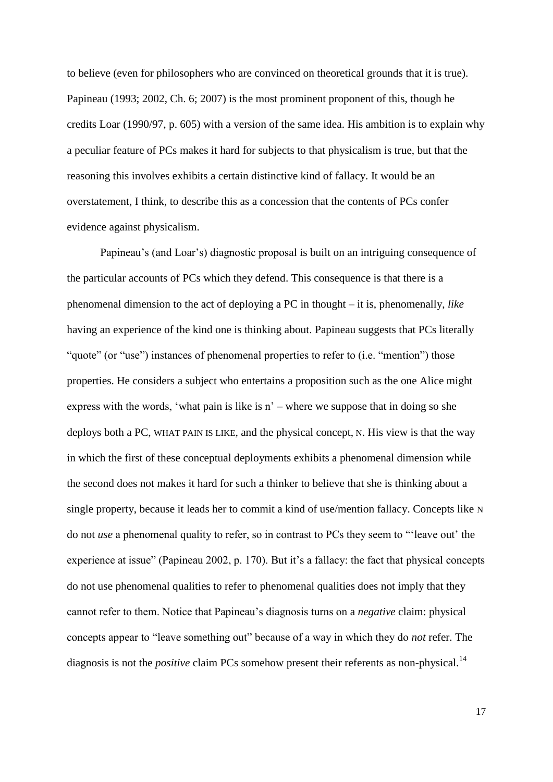to believe (even for philosophers who are convinced on theoretical grounds that it is true). Papineau (1993; 2002, Ch. 6; 2007) is the most prominent proponent of this, though he credits Loar (1990/97, p. 605) with a version of the same idea. His ambition is to explain why a peculiar feature of PCs makes it hard for subjects to that physicalism is true, but that the reasoning this involves exhibits a certain distinctive kind of fallacy. It would be an overstatement, I think, to describe this as a concession that the contents of PCs confer evidence against physicalism.

Papineau's (and Loar's) diagnostic proposal is built on an intriguing consequence of the particular accounts of PCs which they defend. This consequence is that there is a phenomenal dimension to the act of deploying a PC in thought – it is, phenomenally, *like* having an experience of the kind one is thinking about. Papineau suggests that PCs literally "quote" (or "use") instances of phenomenal properties to refer to (i.e. "mention") those properties. He considers a subject who entertains a proposition such as the one Alice might express with the words, 'what pain is like is  $n'$  – where we suppose that in doing so she deploys both a PC, WHAT PAIN IS LIKE, and the physical concept, N. His view is that the way in which the first of these conceptual deployments exhibits a phenomenal dimension while the second does not makes it hard for such a thinker to believe that she is thinking about a single property, because it leads her to commit a kind of use/mention fallacy. Concepts like N do not *use* a phenomenal quality to refer, so in contrast to PCs they seem to "'leave out' the experience at issue" (Papineau 2002, p. 170). But it's a fallacy: the fact that physical concepts do not use phenomenal qualities to refer to phenomenal qualities does not imply that they cannot refer to them. Notice that Papineau's diagnosis turns on a *negative* claim: physical concepts appear to "leave something out" because of a way in which they do *not* refer. The diagnosis is not the *positive* claim PCs somehow present their referents as non-physical.<sup>14</sup>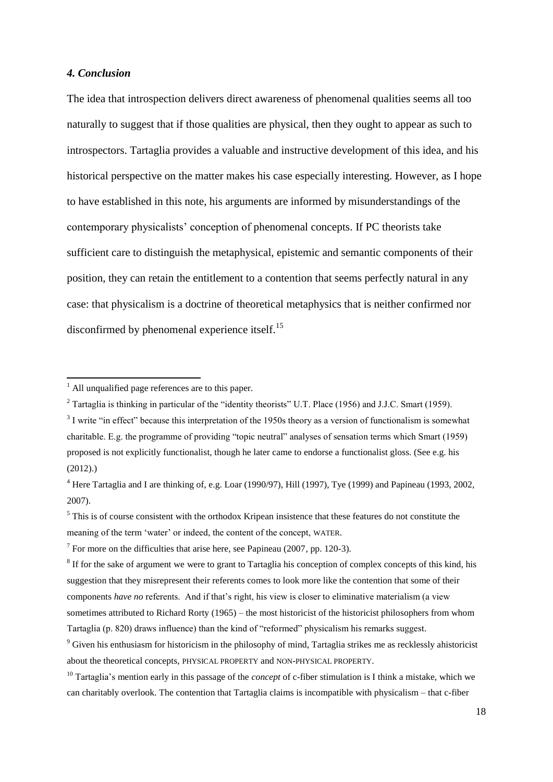## *4. Conclusion*

**.** 

The idea that introspection delivers direct awareness of phenomenal qualities seems all too naturally to suggest that if those qualities are physical, then they ought to appear as such to introspectors. Tartaglia provides a valuable and instructive development of this idea, and his historical perspective on the matter makes his case especially interesting. However, as I hope to have established in this note, his arguments are informed by misunderstandings of the contemporary physicalists' conception of phenomenal concepts. If PC theorists take sufficient care to distinguish the metaphysical, epistemic and semantic components of their position, they can retain the entitlement to a contention that seems perfectly natural in any case: that physicalism is a doctrine of theoretical metaphysics that is neither confirmed nor disconfirmed by phenomenal experience itself.<sup>15</sup>

<sup>&</sup>lt;sup>1</sup> All unqualified page references are to this paper.

<sup>&</sup>lt;sup>2</sup> Tartaglia is thinking in particular of the "identity theorists" U.T. Place (1956) and J.J.C. Smart (1959).

 $3$  I write "in effect" because this interpretation of the 1950s theory as a version of functionalism is somewhat charitable. E.g. the programme of providing "topic neutral" analyses of sensation terms which Smart (1959) proposed is not explicitly functionalist, though he later came to endorse a functionalist gloss. (See e.g. his  $(2012)$ .)

<sup>4</sup> Here Tartaglia and I are thinking of, e.g. Loar (1990/97), Hill (1997), Tye (1999) and Papineau (1993, 2002, 2007).

<sup>&</sup>lt;sup>5</sup> This is of course consistent with the orthodox Kripean insistence that these features do not constitute the meaning of the term 'water' or indeed, the content of the concept, WATER.

 $7$  For more on the difficulties that arise here, see Papineau (2007, pp. 120-3).

 $8$  If for the sake of argument we were to grant to Tartaglia his conception of complex concepts of this kind, his suggestion that they misrepresent their referents comes to look more like the contention that some of their components *have no* referents. And if that's right, his view is closer to eliminative materialism (a view sometimes attributed to Richard Rorty (1965) – the most historicist of the historicist philosophers from whom Tartaglia (p. 820) draws influence) than the kind of "reformed" physicalism his remarks suggest.

<sup>&</sup>lt;sup>9</sup> Given his enthusiasm for historicism in the philosophy of mind, Tartaglia strikes me as recklessly ahistoricist about the theoretical concepts, PHYSICAL PROPERTY and NON-PHYSICAL PROPERTY.

<sup>10</sup> Tartaglia's mention early in this passage of the *concept* of c-fiber stimulation is I think a mistake, which we can charitably overlook. The contention that Tartaglia claims is incompatible with physicalism – that c-fiber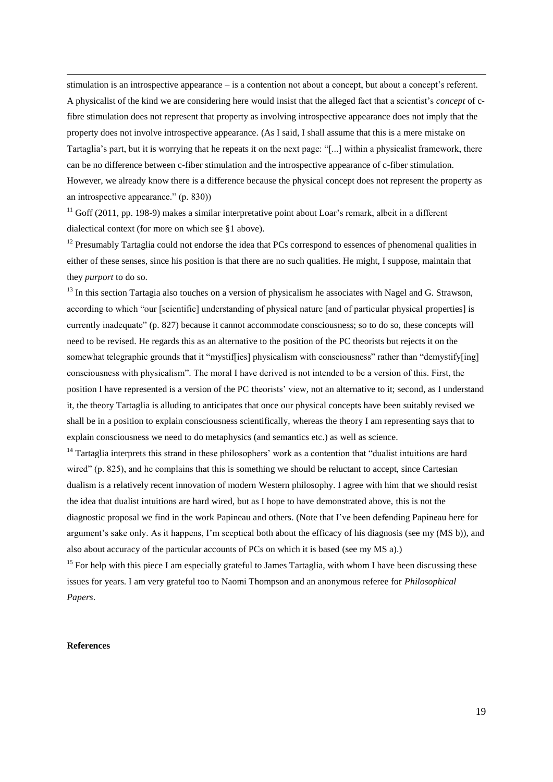stimulation is an introspective appearance – is a contention not about a concept, but about a concept's referent. A physicalist of the kind we are considering here would insist that the alleged fact that a scientist's *concept* of cfibre stimulation does not represent that property as involving introspective appearance does not imply that the property does not involve introspective appearance. (As I said, I shall assume that this is a mere mistake on Tartaglia's part, but it is worrying that he repeats it on the next page: "[...] within a physicalist framework, there can be no difference between c-fiber stimulation and the introspective appearance of c-fiber stimulation. However, we already know there is a difference because the physical concept does not represent the property as an introspective appearance." (p. 830))

 $11$  Goff (2011, pp. 198-9) makes a similar interpretative point about Loar's remark, albeit in a different dialectical context (for more on which see §1 above).

 $12$  Presumably Tartaglia could not endorse the idea that PCs correspond to essences of phenomenal qualities in either of these senses, since his position is that there are no such qualities. He might, I suppose, maintain that they *purport* to do so.

 $<sup>13</sup>$  In this section Tartagia also touches on a version of physicalism he associates with Nagel and G. Strawson,</sup> according to which "our [scientific] understanding of physical nature [and of particular physical properties] is currently inadequate" (p. 827) because it cannot accommodate consciousness; so to do so, these concepts will need to be revised. He regards this as an alternative to the position of the PC theorists but rejects it on the somewhat telegraphic grounds that it "mystiffies] physicalism with consciousness" rather than "demystify[ing] consciousness with physicalism". The moral I have derived is not intended to be a version of this. First, the position I have represented is a version of the PC theorists' view, not an alternative to it; second, as I understand it, the theory Tartaglia is alluding to anticipates that once our physical concepts have been suitably revised we shall be in a position to explain consciousness scientifically, whereas the theory I am representing says that to explain consciousness we need to do metaphysics (and semantics etc.) as well as science.

<sup>14</sup> Tartaglia interprets this strand in these philosophers' work as a contention that "dualist intuitions are hard wired" (p. 825), and he complains that this is something we should be reluctant to accept, since Cartesian dualism is a relatively recent innovation of modern Western philosophy. I agree with him that we should resist the idea that dualist intuitions are hard wired, but as I hope to have demonstrated above, this is not the diagnostic proposal we find in the work Papineau and others. (Note that I've been defending Papineau here for argument's sake only. As it happens, I'm sceptical both about the efficacy of his diagnosis (see my (MS b)), and also about accuracy of the particular accounts of PCs on which it is based (see my MS a).)

<sup>15</sup> For help with this piece I am especially grateful to James Tartaglia, with whom I have been discussing these issues for years. I am very grateful too to Naomi Thompson and an anonymous referee for *Philosophical Papers*.

#### **References**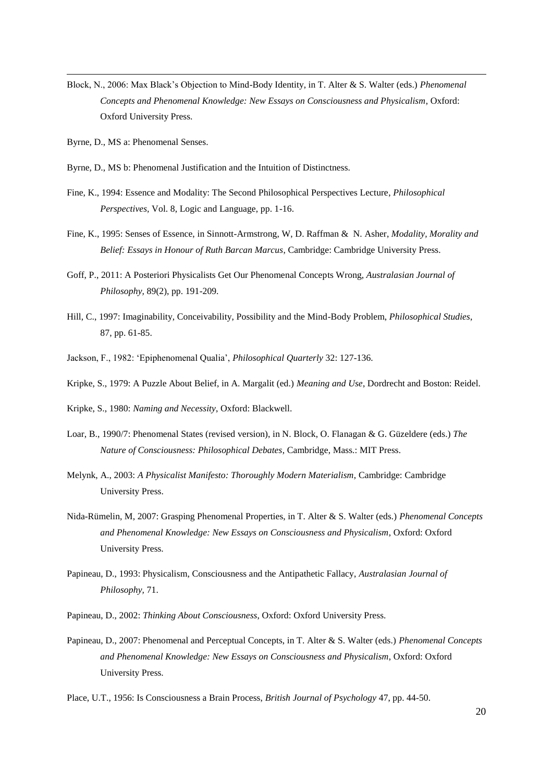- Block, N., 2006: Max Black's Objection to Mind-Body Identity, in T. Alter & S. Walter (eds.) *Phenomenal Concepts and Phenomenal Knowledge: New Essays on Consciousness and Physicalism*, Oxford: Oxford University Press.
- Byrne, D., MS a: Phenomenal Senses.

- Byrne, D., MS b: Phenomenal Justification and the Intuition of Distinctness.
- Fine, K., 1994: Essence and Modality: The Second Philosophical Perspectives Lecture, *Philosophical Perspectives,* Vol. 8, Logic and Language, pp. 1-16.
- Fine, K., 1995: Senses of Essence, in Sinnott-Armstrong, W, D. Raffman & N. Asher, *Modality, Morality and Belief: Essays in Honour of Ruth Barcan Marcus*, Cambridge: Cambridge University Press.
- Goff, P., 2011: A Posteriori Physicalists Get Our Phenomenal Concepts Wrong, *Australasian Journal of Philosophy,* 89(2), pp. 191-209.
- Hill, C., 1997: Imaginability, Conceivability, Possibility and the Mind-Body Problem, *Philosophical Studies*, 87, pp. 61-85.
- Jackson, F., 1982: 'Epiphenomenal Qualia', *Philosophical Quarterly* 32: 127-136.
- Kripke, S., 1979: A Puzzle About Belief, in A. Margalit (ed.) *Meaning and Use*, Dordrecht and Boston: Reidel.
- Kripke, S., 1980: *Naming and Necessity*, Oxford: Blackwell.
- Loar, B., 1990/7: Phenomenal States (revised version), in N. Block, O. Flanagan & G. Güzeldere (eds.) *The Nature of Consciousness: Philosophical Debates*, Cambridge, Mass.: MIT Press.
- Melynk, A., 2003: *A Physicalist Manifesto: Thoroughly Modern Materialism*, Cambridge: Cambridge University Press.
- Nida-Rümelin, M, 2007: Grasping Phenomenal Properties, in T. Alter & S. Walter (eds.) *Phenomenal Concepts and Phenomenal Knowledge: New Essays on Consciousness and Physicalism*, Oxford: Oxford University Press.
- Papineau, D., 1993: Physicalism, Consciousness and the Antipathetic Fallacy, *Australasian Journal of Philosophy,* 71.
- Papineau, D., 2002: *Thinking About Consciousness*, Oxford: Oxford University Press.
- Papineau, D., 2007: Phenomenal and Perceptual Concepts, in T. Alter & S. Walter (eds.) *Phenomenal Concepts and Phenomenal Knowledge: New Essays on Consciousness and Physicalism*, Oxford: Oxford University Press.
- Place, U.T., 1956: Is Consciousness a Brain Process, *British Journal of Psychology* 47, pp. 44-50.